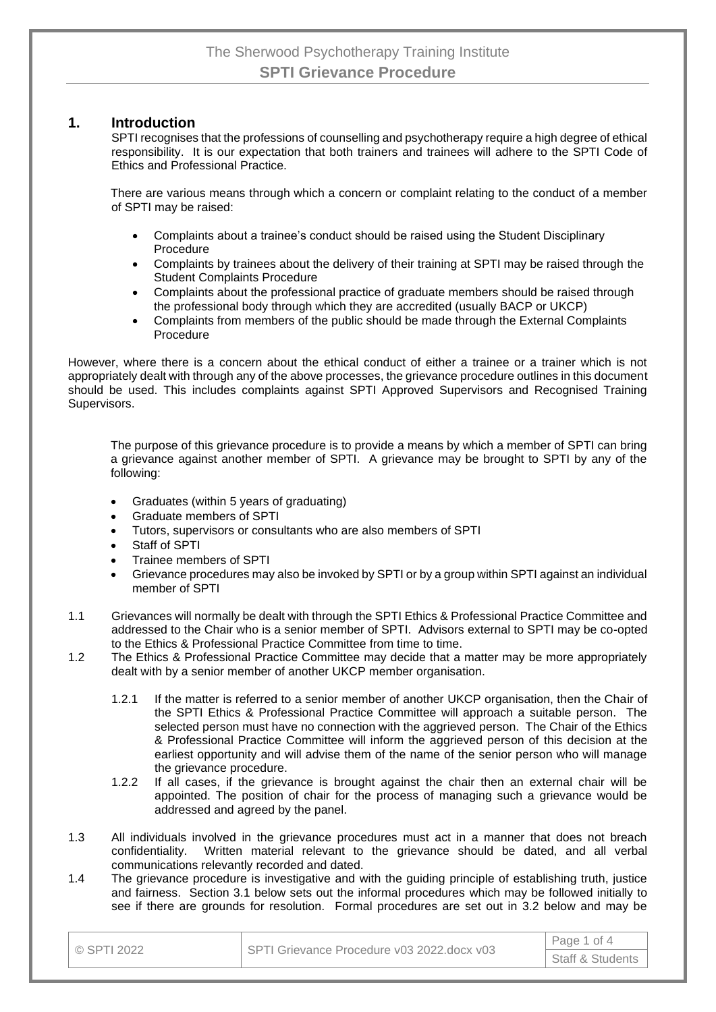#### **1. Introduction**

SPTI recognises that the professions of counselling and psychotherapy require a high degree of ethical responsibility. It is our expectation that both trainers and trainees will adhere to the SPTI Code of Ethics and Professional Practice.

There are various means through which a concern or complaint relating to the conduct of a member of SPTI may be raised:

- Complaints about a trainee's conduct should be raised using the Student Disciplinary Procedure
- Complaints by trainees about the delivery of their training at SPTI may be raised through the Student Complaints Procedure
- Complaints about the professional practice of graduate members should be raised through the professional body through which they are accredited (usually BACP or UKCP)
- Complaints from members of the public should be made through the External Complaints Procedure

However, where there is a concern about the ethical conduct of either a trainee or a trainer which is not appropriately dealt with through any of the above processes, the grievance procedure outlines in this document should be used. This includes complaints against SPTI Approved Supervisors and Recognised Training Supervisors.

The purpose of this grievance procedure is to provide a means by which a member of SPTI can bring a grievance against another member of SPTI. A grievance may be brought to SPTI by any of the following:

- Graduates (within 5 years of graduating)
- Graduate members of SPTI
- Tutors, supervisors or consultants who are also members of SPTI
- Staff of SPTI
- Trainee members of SPTI
- Grievance procedures may also be invoked by SPTI or by a group within SPTI against an individual member of SPTI
- 1.1 Grievances will normally be dealt with through the SPTI Ethics & Professional Practice Committee and addressed to the Chair who is a senior member of SPTI. Advisors external to SPTI may be co-opted to the Ethics & Professional Practice Committee from time to time.
- 1.2 The Ethics & Professional Practice Committee may decide that a matter may be more appropriately dealt with by a senior member of another UKCP member organisation.
	- 1.2.1 If the matter is referred to a senior member of another UKCP organisation, then the Chair of the SPTI Ethics & Professional Practice Committee will approach a suitable person. The selected person must have no connection with the aggrieved person. The Chair of the Ethics & Professional Practice Committee will inform the aggrieved person of this decision at the earliest opportunity and will advise them of the name of the senior person who will manage the grievance procedure.
	- 1.2.2 If all cases, if the grievance is brought against the chair then an external chair will be appointed. The position of chair for the process of managing such a grievance would be addressed and agreed by the panel.
- 1.3 All individuals involved in the grievance procedures must act in a manner that does not breach confidentiality. Written material relevant to the grievance should be dated, and all verbal communications relevantly recorded and dated.
- 1.4 The grievance procedure is investigative and with the guiding principle of establishing truth, justice and fairness. Section 3.1 below sets out the informal procedures which may be followed initially to see if there are grounds for resolution. Formal procedures are set out in 3.2 below and may be

| © SPTI 2022 | SPTI Grievance Procedure v03 2022.docx v03 | Page 1 of 4                 |  |
|-------------|--------------------------------------------|-----------------------------|--|
|             |                                            | <b>Staff &amp; Students</b> |  |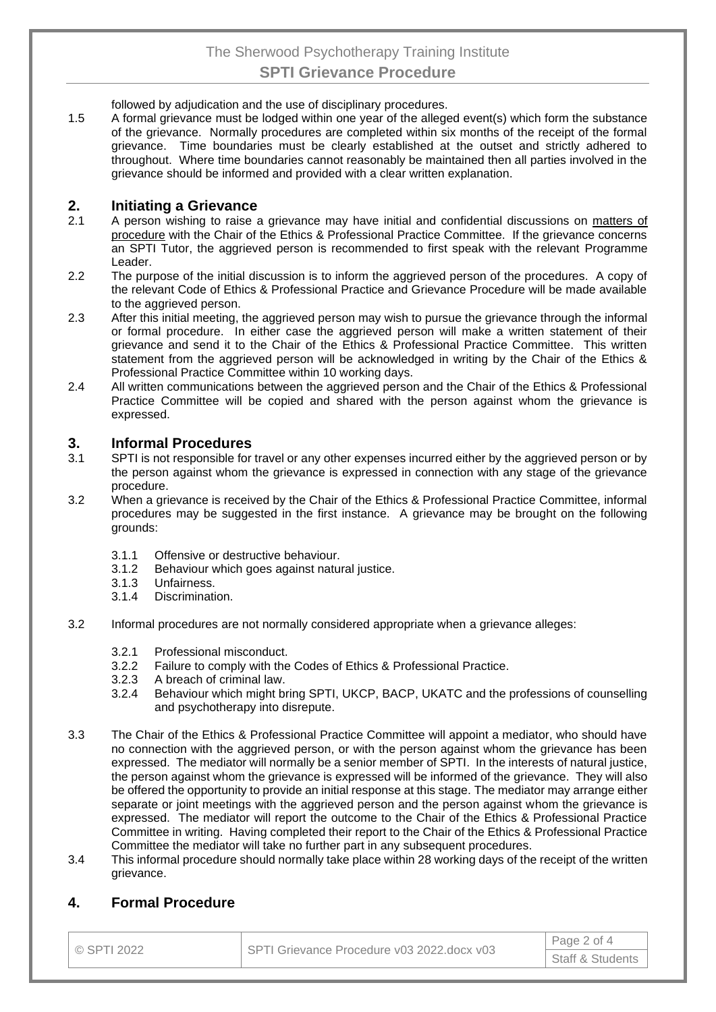## The Sherwood Psychotherapy Training Institute **SPTI Grievance Procedure**

followed by adjudication and the use of disciplinary procedures.

1.5 A formal grievance must be lodged within one year of the alleged event(s) which form the substance of the grievance. Normally procedures are completed within six months of the receipt of the formal grievance. Time boundaries must be clearly established at the outset and strictly adhered to throughout. Where time boundaries cannot reasonably be maintained then all parties involved in the grievance should be informed and provided with a clear written explanation.

#### **2. Initiating a Grievance**

- 2.1 A person wishing to raise a grievance may have initial and confidential discussions on matters of procedure with the Chair of the Ethics & Professional Practice Committee. If the grievance concerns an SPTI Tutor, the aggrieved person is recommended to first speak with the relevant Programme Leader.
- 2.2 The purpose of the initial discussion is to inform the aggrieved person of the procedures. A copy of the relevant Code of Ethics & Professional Practice and Grievance Procedure will be made available to the aggrieved person.
- 2.3 After this initial meeting, the aggrieved person may wish to pursue the grievance through the informal or formal procedure. In either case the aggrieved person will make a written statement of their grievance and send it to the Chair of the Ethics & Professional Practice Committee. This written statement from the aggrieved person will be acknowledged in writing by the Chair of the Ethics & Professional Practice Committee within 10 working days.
- 2.4 All written communications between the aggrieved person and the Chair of the Ethics & Professional Practice Committee will be copied and shared with the person against whom the grievance is expressed.

#### **3. Informal Procedures**

- 3.1 SPTI is not responsible for travel or any other expenses incurred either by the aggrieved person or by the person against whom the grievance is expressed in connection with any stage of the grievance procedure.
- 3.2 When a grievance is received by the Chair of the Ethics & Professional Practice Committee, informal procedures may be suggested in the first instance. A grievance may be brought on the following grounds:
	- 3.1.1 Offensive or destructive behaviour.
	- 3.1.2 Behaviour which goes against natural justice.
	- 3.1.3 Unfairness.
	- 3.1.4 Discrimination.
- 3.2 Informal procedures are not normally considered appropriate when a grievance alleges:
	- 3.2.1 Professional misconduct.
	- 3.2.2 Failure to comply with the Codes of Ethics & Professional Practice.<br>3.2.3 A breach of criminal law.
	- A breach of criminal law.
	- 3.2.4 Behaviour which might bring SPTI, UKCP, BACP, UKATC and the professions of counselling and psychotherapy into disrepute.
- 3.3 The Chair of the Ethics & Professional Practice Committee will appoint a mediator, who should have no connection with the aggrieved person, or with the person against whom the grievance has been expressed. The mediator will normally be a senior member of SPTI. In the interests of natural justice, the person against whom the grievance is expressed will be informed of the grievance. They will also be offered the opportunity to provide an initial response at this stage. The mediator may arrange either separate or joint meetings with the aggrieved person and the person against whom the grievance is expressed. The mediator will report the outcome to the Chair of the Ethics & Professional Practice Committee in writing. Having completed their report to the Chair of the Ethics & Professional Practice Committee the mediator will take no further part in any subsequent procedures.
- 3.4 This informal procedure should normally take place within 28 working days of the receipt of the written grievance.

#### **4. Formal Procedure**

| I © SPTI 2022 | SPTI Grievance Procedure v03 2022.docx v03 | Page 2 of 4                 |  |
|---------------|--------------------------------------------|-----------------------------|--|
|               |                                            | <b>Staff &amp; Students</b> |  |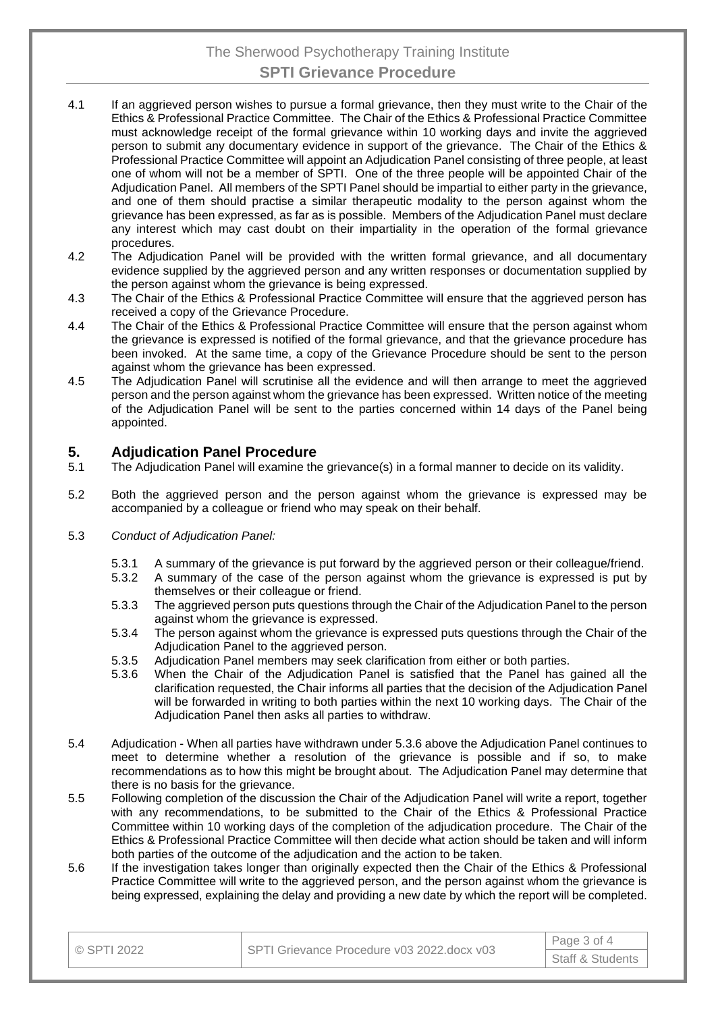## The Sherwood Psychotherapy Training Institute **SPTI Grievance Procedure**

- 4.1 If an aggrieved person wishes to pursue a formal grievance, then they must write to the Chair of the Ethics & Professional Practice Committee. The Chair of the Ethics & Professional Practice Committee must acknowledge receipt of the formal grievance within 10 working days and invite the aggrieved person to submit any documentary evidence in support of the grievance. The Chair of the Ethics & Professional Practice Committee will appoint an Adjudication Panel consisting of three people, at least one of whom will not be a member of SPTI. One of the three people will be appointed Chair of the Adjudication Panel. All members of the SPTI Panel should be impartial to either party in the grievance, and one of them should practise a similar therapeutic modality to the person against whom the grievance has been expressed, as far as is possible. Members of the Adjudication Panel must declare any interest which may cast doubt on their impartiality in the operation of the formal grievance procedures.
- 4.2 The Adjudication Panel will be provided with the written formal grievance, and all documentary evidence supplied by the aggrieved person and any written responses or documentation supplied by the person against whom the grievance is being expressed.
- 4.3 The Chair of the Ethics & Professional Practice Committee will ensure that the aggrieved person has received a copy of the Grievance Procedure.
- 4.4 The Chair of the Ethics & Professional Practice Committee will ensure that the person against whom the grievance is expressed is notified of the formal grievance, and that the grievance procedure has been invoked. At the same time, a copy of the Grievance Procedure should be sent to the person against whom the grievance has been expressed.
- 4.5 The Adjudication Panel will scrutinise all the evidence and will then arrange to meet the aggrieved person and the person against whom the grievance has been expressed. Written notice of the meeting of the Adjudication Panel will be sent to the parties concerned within 14 days of the Panel being appointed.

# **5. Adjudication Panel Procedure**<br>**5.1** The Adjudication Panel will examine the

- The Adjudication Panel will examine the grievance(s) in a formal manner to decide on its validity.
- 5.2 Both the aggrieved person and the person against whom the grievance is expressed may be accompanied by a colleague or friend who may speak on their behalf.
- 5.3 *Conduct of Adjudication Panel:*
	- 5.3.1 A summary of the grievance is put forward by the aggrieved person or their colleague/friend.
	- 5.3.2 A summary of the case of the person against whom the grievance is expressed is put by themselves or their colleague or friend.
	- 5.3.3 The aggrieved person puts questions through the Chair of the Adjudication Panel to the person against whom the grievance is expressed.
	- 5.3.4 The person against whom the grievance is expressed puts questions through the Chair of the Adjudication Panel to the aggrieved person.
	- 5.3.5 Adjudication Panel members may seek clarification from either or both parties.
	- 5.3.6 When the Chair of the Adjudication Panel is satisfied that the Panel has gained all the clarification requested, the Chair informs all parties that the decision of the Adjudication Panel will be forwarded in writing to both parties within the next 10 working days. The Chair of the Adjudication Panel then asks all parties to withdraw.
- 5.4 Adjudication When all parties have withdrawn under 5.3.6 above the Adjudication Panel continues to meet to determine whether a resolution of the grievance is possible and if so, to make recommendations as to how this might be brought about. The Adjudication Panel may determine that there is no basis for the grievance.
- 5.5 Following completion of the discussion the Chair of the Adjudication Panel will write a report, together with any recommendations, to be submitted to the Chair of the Ethics & Professional Practice Committee within 10 working days of the completion of the adjudication procedure. The Chair of the Ethics & Professional Practice Committee will then decide what action should be taken and will inform both parties of the outcome of the adjudication and the action to be taken.
- 5.6 If the investigation takes longer than originally expected then the Chair of the Ethics & Professional Practice Committee will write to the aggrieved person, and the person against whom the grievance is being expressed, explaining the delay and providing a new date by which the report will be completed.

| $\circ$ SPTI 2022 | SPTI Grievance Procedure v03 2022.docx v03 | Page 3 of 4                 |
|-------------------|--------------------------------------------|-----------------------------|
|                   |                                            | <b>Staff &amp; Students</b> |